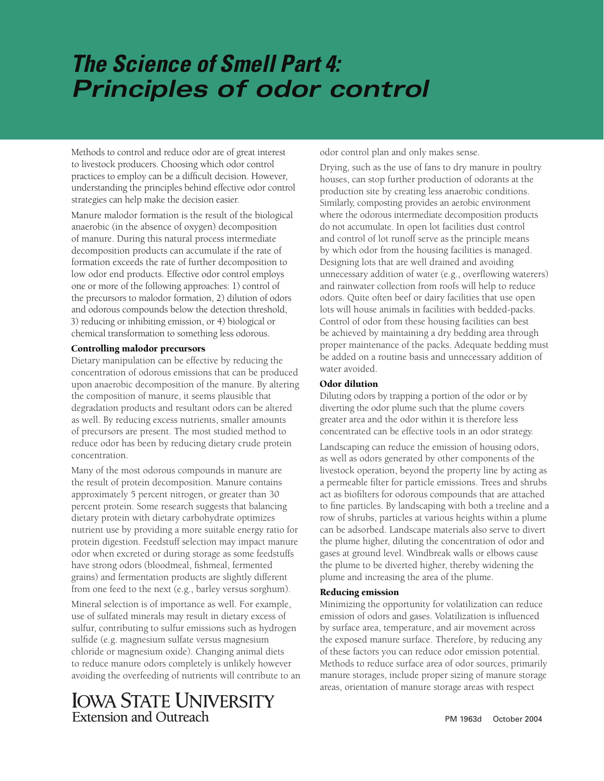# *The Science of Smell Part 4: Principles of odor control*

Methods to control and reduce odor are of great interest to livestock producers. Choosing which odor control practices to employ can be a difficult decision. However, understanding the principles behind effective odor control strategies can help make the decision easier.

Manure malodor formation is the result of the biological anaerobic (in the absence of oxygen) decomposition of manure. During this natural process intermediate decomposition products can accumulate if the rate of formation exceeds the rate of further decomposition to low odor end products. Effective odor control employs one or more of the following approaches: 1) control of the precursors to malodor formation, 2) dilution of odors and odorous compounds below the detection threshold, 3) reducing or inhibiting emission, or 4) biological or chemical transformation to something less odorous.

#### Controlling malodor precursors

Dietary manipulation can be effective by reducing the concentration of odorous emissions that can be produced upon anaerobic decomposition of the manure. By altering the composition of manure, it seems plausible that degradation products and resultant odors can be altered as well. By reducing excess nutrients, smaller amounts of precursors are present. The most studied method to reduce odor has been by reducing dietary crude protein concentration.

Many of the most odorous compounds in manure are the result of protein decomposition. Manure contains approximately 5 percent nitrogen, or greater than 30 percent protein. Some research suggests that balancing dietary protein with dietary carbohydrate optimizes nutrient use by providing a more suitable energy ratio for protein digestion. Feedstuff selection may impact manure odor when excreted or during storage as some feedstuffs have strong odors (bloodmeal, fishmeal, fermented grains) and fermentation products are slightly different from one feed to the next (e.g., barley versus sorghum).

Mineral selection is of importance as well. For example, use of sulfated minerals may result in dietary excess of sulfur, contributing to sulfur emissions such as hydrogen sulfide (e.g. magnesium sulfate versus magnesium chloride or magnesium oxide). Changing animal diets to reduce manure odors completely is unlikely however avoiding the overfeeding of nutrients will contribute to an

## **IOWA STATE UNIVERSITY** Extension and Outreach

odor control plan and only makes sense.

Drying, such as the use of fans to dry manure in poultry houses, can stop further production of odorants at the production site by creating less anaerobic conditions. Similarly, composting provides an aerobic environment where the odorous intermediate decomposition products do not accumulate. In open lot facilities dust control and control of lot runoff serve as the principle means by which odor from the housing facilities is managed. Designing lots that are well drained and avoiding unnecessary addition of water (e.g., overflowing waterers) and rainwater collection from roofs will help to reduce odors. Quite often beef or dairy facilities that use open lots will house animals in facilities with bedded-packs. Control of odor from these housing facilities can best be achieved by maintaining a dry bedding area through proper maintenance of the packs. Adequate bedding must be added on a routine basis and unnecessary addition of water avoided.

### Odor dilution

Diluting odors by trapping a portion of the odor or by diverting the odor plume such that the plume covers greater area and the odor within it is therefore less concentrated can be effective tools in an odor strategy.

Landscaping can reduce the emission of housing odors, as well as odors generated by other components of the livestock operation, beyond the property line by acting as a permeable filter for particle emissions. Trees and shrubs act as biofilters for odorous compounds that are attached to fine particles. By landscaping with both a treeline and a row of shrubs, particles at various heights within a plume can be adsorbed. Landscape materials also serve to divert the plume higher, diluting the concentration of odor and gases at ground level. Windbreak walls or elbows cause the plume to be diverted higher, thereby widening the plume and increasing the area of the plume.

#### Reducing emission

Minimizing the opportunity for volatilization can reduce emission of odors and gases. Volatilization is influenced by surface area, temperature, and air movement across the exposed manure surface. Therefore, by reducing any of these factors you can reduce odor emission potential. Methods to reduce surface area of odor sources, primarily manure storages, include proper sizing of manure storage areas, orientation of manure storage areas with respect